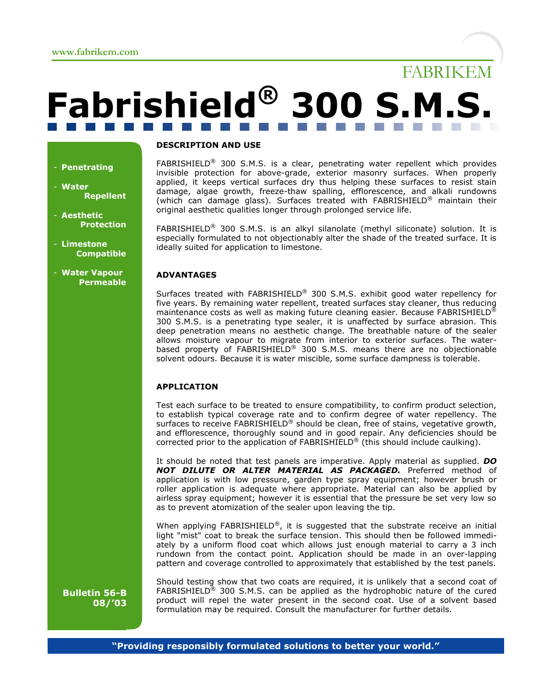- **Penetrating**

**Repellent**

**Protection**

**Compatible**

- **Water**

- **Aesthetic**

- **Limestone**

- **Water Vapour Permeable**

# **Fabrishield® 300 S.M.S.**

# **DESCRIPTION AND USE**

FABRISHIELD® 300 S.M.S. is a clear, penetrating water repellent which provides invisible protection for above-grade, exterior masonry surfaces. When properly applied, it keeps vertical surfaces dry thus helping these surfaces to resist stain damage, algae growth, freeze-thaw spalling, efflorescence, and alkali rundowns (which can damage glass). Surfaces treated with FABRISHIELD® maintain their original aesthetic qualities longer through prolonged service life.

FABRIKEM

FABRISHIELD® 300 S.M.S. is an alkyl silanolate (methyl siliconate) solution. It is especially formulated to not objectionably alter the shade of the treated surface. It is ideally suited for application to limestone.

# **ADVANTAGES**

Surfaces treated with FABRISHIELD® 300 S.M.S. exhibit good water repellency for five years. By remaining water repellent, treated surfaces stay cleaner, thus reducing maintenance costs as well as making future cleaning easier. Because FABRISHIELD<sup>®</sup> 300 S.M.S. is a penetrating type sealer, it is unaffected by surface abrasion. This deep penetration means no aesthetic change. The breathable nature of the sealer allows moisture vapour to migrate from interior to exterior surfaces. The waterbased property of FABRISHIELD® 300 S.M.S. means there are no objectionable solvent odours. Because it is water miscible, some surface dampness is tolerable.

# **APPLICATION**

Test each surface to be treated to ensure compatibility, to confirm product selection, to establish typical coverage rate and to confirm degree of water repellency. The surfaces to receive FABRISHIELD<sup>®</sup> should be clean, free of stains, vegetative growth, and efflorescence, thoroughly sound and in good repair. Any deficiencies should be corrected prior to the application of FABRISHIELD® (this should include caulking).

It should be noted that test panels are imperative. Apply material as supplied. *DO NOT DILUTE OR ALTER MATERIAL AS PACKAGED.* Preferred method of application is with low pressure, garden type spray equipment; however brush or roller application is adequate where appropriate. Material can also be applied by airless spray equipment; however it is essential that the pressure be set very low so as to prevent atomization of the sealer upon leaving the tip.

When applying FABRISHIELD<sup>®</sup>, it is suggested that the substrate receive an initial light "mist" coat to break the surface tension. This should then be followed immediately by a uniform flood coat which allows just enough material to carry a 3 inch rundown from the contact point. Application should be made in an over-lapping pattern and coverage controlled to approximately that established by the test panels.

**Bulletin 56-B 08/'03**

Should testing show that two coats are required, it is unlikely that a second coat of FABRISHIELD<sup>®</sup> 300 S.M.S. can be applied as the hydrophobic nature of the cured product will repel the water present in the second coat. Use of a solvent based formulation may be required. Consult the manufacturer for further details.